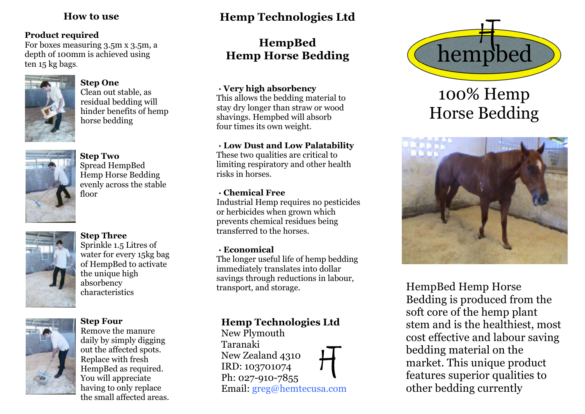#### **Product required**

For boxes measuring 3.5m x 3.5m, a depth of 100mm is achieved using ten 15 kg bags.



#### **Step One**

Clean out stable, as residual bedding will hinder benefits of hemp horse bedding



**Step Two**

Spread HempBed Hemp Horse Bedding evenly across the stable floor



### **Step Three**

Sprinkle 1.5 Litres of water for every 15kg bag of HempBed to activate the unique high absorbency characteristics



#### **Step Four**

Remove the manure daily by simply digging out the affected spots. Replace with fresh HempBed as required. You will appreciate having to only replace the small affected areas.

# **How to use Hemp Technologies Ltd**

# **HempBed Hemp Horse Bedding**

#### **· Very high absorbency**

This allows the bedding material to stay dry longer than straw or wood shavings. Hempbed will absorb four times its own weight.

#### **· Low Dust and Low Palatability**

These two qualities are critical to limiting respiratory and other health risks in horses.

### **· Chemical Free**

Industrial Hemp requires no pesticides or herbicides when grown which prevents chemical residues being transferred to the horses.

#### **· Economical**

The longer useful life of hemp bedding immediately translates into dollar savings through reductions in labour, transport, and storage.

## **Hemp Technologies Ltd**

New Plymouth Taranaki New Zealand 4310 IRD: 103701074 Ph: 027-910-7855 Email: greg@hemtecusa.com



# 100% Hemp Horse Bedding



HempBed Hemp Horse Bedding is produced from the soft core of the hemp plant stem and is the healthiest, most cost effective and labour saving bedding material on the market. This unique product features superior qualities to other bedding currently